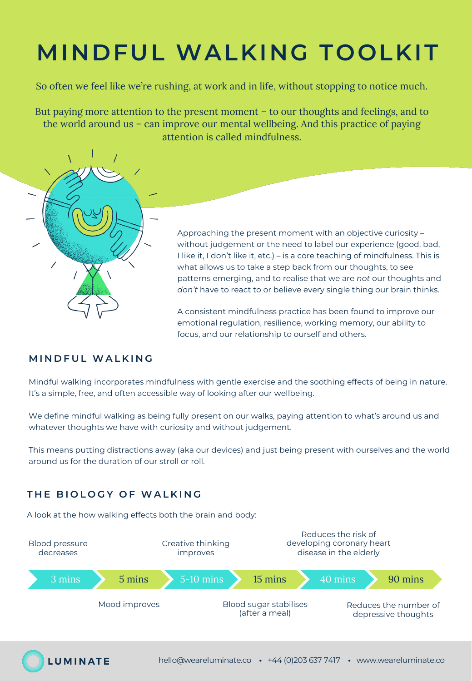# **MINDFUL WALKING TOOLKIT**

So often we feel like we're rushing, at work and in life, without stopping to notice much.

But paying more attention to the present moment – to our thoughts and feelings, and to the world around us – can improve our mental wellbeing. And this practice of paying attention is called mindfulness.



Approaching the present moment with an objective curiosity – without judgement or the need to label our experience (good, bad, I like it, I don't like it, etc.) – is a core teaching of mindfulness. This is what allows us to take a step back from our thoughts, to see patterns emerging, and to realise that we are *not* our thoughts and *don't* have to react to or believe every single thing our brain thinks.

A consistent mindfulness practice has been found to improve our emotional regulation, resilience, working memory, our ability to focus, and our relationship to ourself and others.

#### **MINDFUL WALKING**

Mindful walking incorporates mindfulness with gentle exercise and the soothing effects of being in nature. It's a simple, free, and often accessible way of looking after our wellbeing.

We define mindful walking as being fully present on our walks, paying attention to what's around us and whatever thoughts we have with curiosity and without judgement.

This means putting distractions away (aka our devices) and just being present with ourselves and the world around us for the duration of our stroll or roll.

### **THE BIOLOGY OF WALKING**